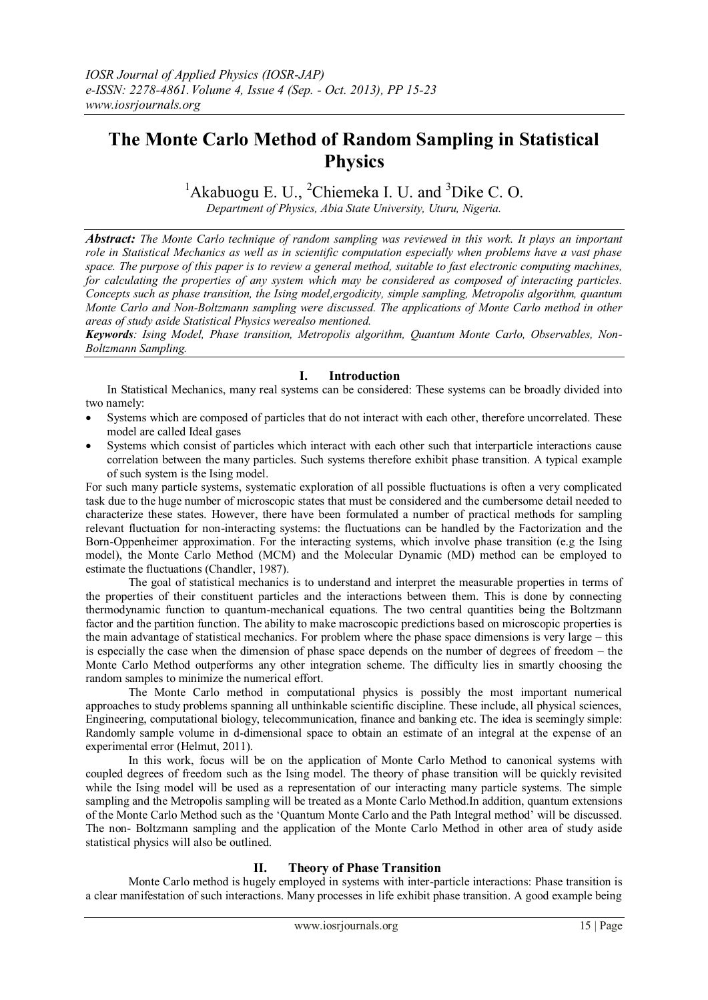# **The Monte Carlo Method of Random Sampling in Statistical Physics**

<sup>1</sup>Akabuogu E. U., <sup>2</sup>Chiemeka I. U. and <sup>3</sup>Dike C. O.

*Department of Physics, Abia State University, Uturu, Nigeria.*

*Abstract: The Monte Carlo technique of random sampling was reviewed in this work. It plays an important role in Statistical Mechanics as well as in scientific computation especially when problems have a vast phase space. The purpose of this paper is to review a general method, suitable to fast electronic computing machines, for calculating the properties of any system which may be considered as composed of interacting particles. Concepts such as phase transition, the Ising model,ergodicity, simple sampling, Metropolis algorithm, quantum Monte Carlo and Non-Boltzmann sampling were discussed. The applications of Monte Carlo method in other areas of study aside Statistical Physics werealso mentioned.*

*Keywords: Ising Model, Phase transition, Metropolis algorithm, Quantum Monte Carlo, Observables, Non-Boltzmann Sampling.*

# **I. Introduction**

In Statistical Mechanics, many real systems can be considered: These systems can be broadly divided into two namely:

- Systems which are composed of particles that do not interact with each other, therefore uncorrelated. These model are called Ideal gases
- Systems which consist of particles which interact with each other such that interparticle interactions cause correlation between the many particles. Such systems therefore exhibit phase transition. A typical example of such system is the Ising model.

For such many particle systems, systematic exploration of all possible fluctuations is often a very complicated task due to the huge number of microscopic states that must be considered and the cumbersome detail needed to characterize these states. However, there have been formulated a number of practical methods for sampling relevant fluctuation for non-interacting systems: the fluctuations can be handled by the Factorization and the Born-Oppenheimer approximation. For the interacting systems, which involve phase transition (e.g the Ising model), the Monte Carlo Method (MCM) and the Molecular Dynamic (MD) method can be employed to estimate the fluctuations (Chandler, 1987).

The goal of statistical mechanics is to understand and interpret the measurable properties in terms of the properties of their constituent particles and the interactions between them. This is done by connecting thermodynamic function to quantum-mechanical equations. The two central quantities being the Boltzmann factor and the partition function. The ability to make macroscopic predictions based on microscopic properties is the main advantage of statistical mechanics. For problem where the phase space dimensions is very large – this is especially the case when the dimension of phase space depends on the number of degrees of freedom – the Monte Carlo Method outperforms any other integration scheme. The difficulty lies in smartly choosing the random samples to minimize the numerical effort.

The Monte Carlo method in computational physics is possibly the most important numerical approaches to study problems spanning all unthinkable scientific discipline. These include, all physical sciences, Engineering, computational biology, telecommunication, finance and banking etc. The idea is seemingly simple: Randomly sample volume in d-dimensional space to obtain an estimate of an integral at the expense of an experimental error (Helmut, 2011).

In this work, focus will be on the application of Monte Carlo Method to canonical systems with coupled degrees of freedom such as the Ising model. The theory of phase transition will be quickly revisited while the Ising model will be used as a representation of our interacting many particle systems. The simple sampling and the Metropolis sampling will be treated as a Monte Carlo Method.In addition, quantum extensions of the Monte Carlo Method such as the 'Quantum Monte Carlo and the Path Integral method' will be discussed. The non- Boltzmann sampling and the application of the Monte Carlo Method in other area of study aside statistical physics will also be outlined.

# **II. Theory of Phase Transition**

Monte Carlo method is hugely employed in systems with inter-particle interactions: Phase transition is a clear manifestation of such interactions. Many processes in life exhibit phase transition. A good example being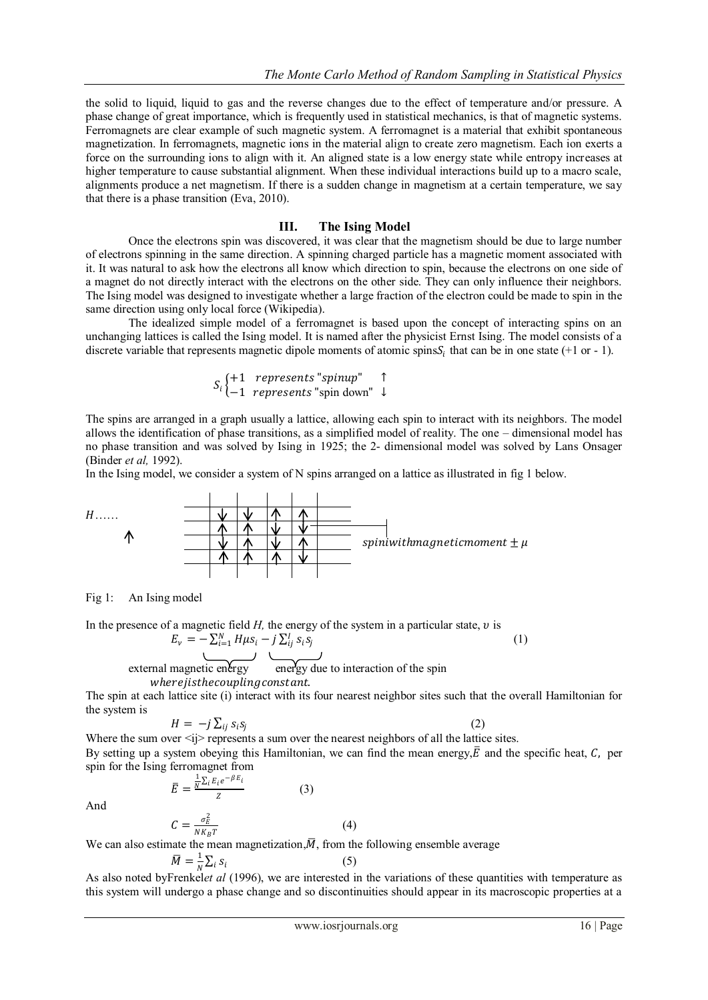the solid to liquid, liquid to gas and the reverse changes due to the effect of temperature and/or pressure. A phase change of great importance, which is frequently used in statistical mechanics, is that of magnetic systems. Ferromagnets are clear example of such magnetic system. A ferromagnet is a material that exhibit spontaneous magnetization. In ferromagnets, magnetic ions in the material align to create zero magnetism. Each ion exerts a force on the surrounding ions to align with it. An aligned state is a low energy state while entropy increases at higher temperature to cause substantial alignment. When these individual interactions build up to a macro scale, alignments produce a net magnetism. If there is a sudden change in magnetism at a certain temperature, we say that there is a phase transition (Eva, 2010).

## **III. The Ising Model**

Once the electrons spin was discovered, it was clear that the magnetism should be due to large number of electrons spinning in the same direction. A spinning charged particle has a magnetic moment associated with it. It was natural to ask how the electrons all know which direction to spin, because the electrons on one side of a magnet do not directly interact with the electrons on the other side. They can only influence their neighbors. The Ising model was designed to investigate whether a large fraction of the electron could be made to spin in the same direction using only local force (Wikipedia).

The idealized simple model of a ferromagnet is based upon the concept of interacting spins on an unchanging lattices is called the Ising model. It is named after the physicist Ernst Ising. The model consists of a discrete variable that represents magnetic dipole moments of atomic spins $S_i$  that can be in one state (+1 or - 1).

$$
S_i \left\{ \begin{matrix} +1 & \text{represents "spinup"} \\ -1 & \text{represents "spin down"} \end{matrix} \right\}
$$

The spins are arranged in a graph usually a lattice, allowing each spin to interact with its neighbors. The model allows the identification of phase transitions, as a simplified model of reality. The one – dimensional model has no phase transition and was solved by Ising in 1925; the 2- dimensional model was solved by Lans Onsager (Binder *et al,* 1992).

In the Ising model, we consider a system of N spins arranged on a lattice as illustrated in fig 1 below.



Fig 1: An Ising model

In the presence of a magnetic field  $H$ , the energy of the system in a particular state,  $v$  is  $E_v = -\sum_{i=1}^{N} H \mu s_i - j \sum_{ij}^{I} s_i s_j$ (1) external magnetic energy energy due to interaction of the spin where jisthe coupling constant.

The spin at each lattice site (i) interact with its four nearest neighbor sites such that the overall Hamiltonian for the system is

(2)

$$
H = -j \sum_{ij} s_i s_j
$$

Where the sum over  $\langle i \rangle$  represents a sum over the nearest neighbors of all the lattice sites. By setting up a system obeying this Hamiltonian, we can find the mean energy,  $\bar{E}$  and the specific heat, C, per spin for the Ising ferromagnet from

> $\bar{E} = \frac{\frac{1}{N} \sum_{i} E_i e^{-\beta E_i}}{Z}$ Z

 $C=$ 

And

$$
\frac{N^{\frac{2l}{2l^2}}}{Z}
$$
 (3)

 $NK_B T$ We can also estimate the mean magnetization,  $\overline{M}$ , from the following ensemble average

$$
\overline{M} = \frac{1}{N} \sum_{i} s_i \tag{5}
$$

As also noted byFrenkel*et al* (1996), we are interested in the variations of these quantities with temperature as this system will undergo a phase change and so discontinuities should appear in its macroscopic properties at a

(4)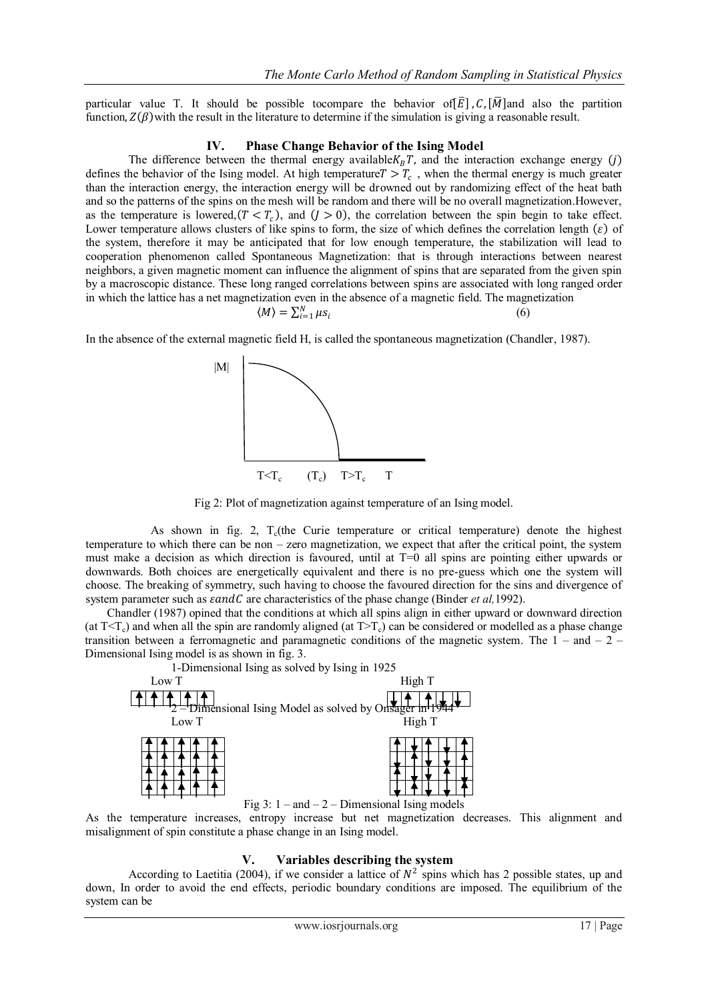particular value T. It should be possible tocompare the behavior of  $\bar{E}$ ,  $\bar{C}$ ,  $\bar{M}$  and also the partition function,  $Z(\beta)$  with the result in the literature to determine if the simulation is giving a reasonable result.

## **IV. Phase Change Behavior of the Ising Model**

The difference between the thermal energy available  $K_B T$ , and the interaction exchange energy (j) defines the behavior of the Ising model. At high temperature  $T > T_c$ , when the thermal energy is much greater than the interaction energy, the interaction energy will be drowned out by randomizing effect of the heat bath and so the patterns of the spins on the mesh will be random and there will be no overall magnetization.However, as the temperature is lowered,  $(T < T_c)$ , and  $(J > 0)$ , the correlation between the spin begin to take effect. Lower temperature allows clusters of like spins to form, the size of which defines the correlation length  $(\varepsilon)$  of the system, therefore it may be anticipated that for low enough temperature, the stabilization will lead to cooperation phenomenon called Spontaneous Magnetization: that is through interactions between nearest neighbors, a given magnetic moment can influence the alignment of spins that are separated from the given spin by a macroscopic distance. These long ranged correlations between spins are associated with long ranged order in which the lattice has a net magnetization even in the absence of a magnetic field. The magnetization N

$$
\langle M \rangle = \sum_{i=1}^{N} \mu s_i \tag{6}
$$

In the absence of the external magnetic field H, is called the spontaneous magnetization (Chandler, 1987).



Fig 2: Plot of magnetization against temperature of an Ising model.

As shown in fig. 2,  $T_c$ (the Curie temperature or critical temperature) denote the highest temperature to which there can be non – zero magnetization, we expect that after the critical point, the system must make a decision as which direction is favoured, until at T=0 all spins are pointing either upwards or downwards. Both choices are energetically equivalent and there is no pre-guess which one the system will choose. The breaking of symmetry, such having to choose the favoured direction for the sins and divergence of system parameter such as  $\epsilon$ andC are characteristics of the phase change (Binder *et al.*1992).

Chandler (1987) opined that the conditions at which all spins align in either upward or downward direction (at  $T < T_c$ ) and when all the spin are randomly aligned (at  $T > T_c$ ) can be considered or modelled as a phase change transition between a ferromagnetic and paramagnetic conditions of the magnetic system. The  $1 -$  and  $- 2 -$ Dimensional Ising model is as shown in fig. 3.



As the temperature increases, entropy increase but net magnetization decreases. This alignment and misalignment of spin constitute a phase change in an Ising model.

## **V. Variables describing the system**

According to Laetitia (2004), if we consider a lattice of  $N^2$  spins which has 2 possible states, up and down, In order to avoid the end effects, periodic boundary conditions are imposed. The equilibrium of the system can be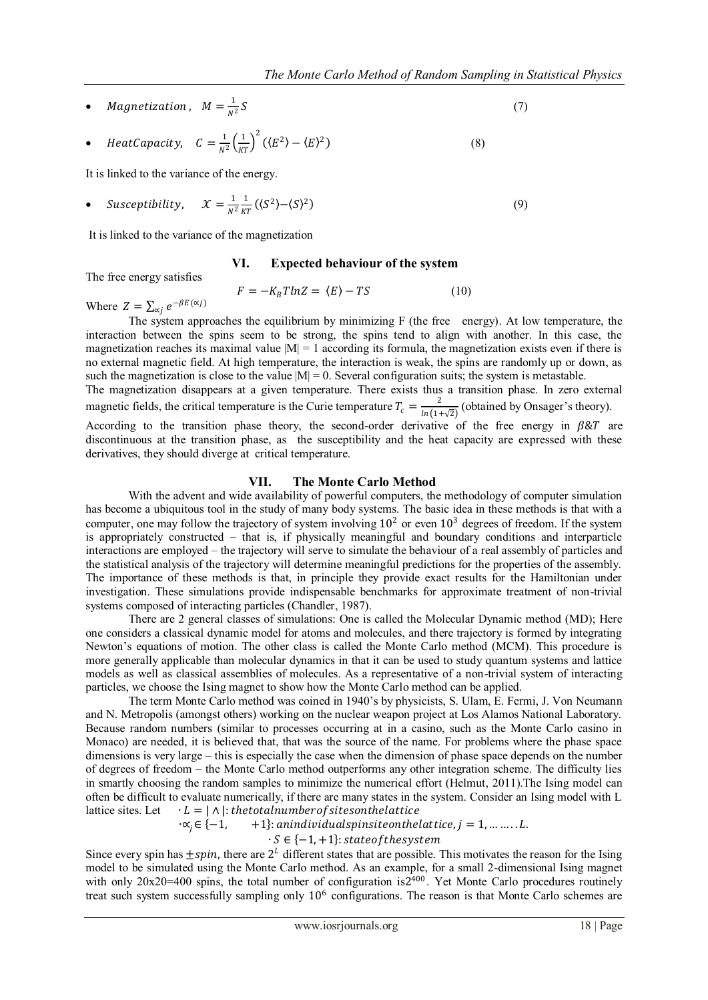• Magnetization,  $M = \frac{1}{N}$  $N^2$  $S \tag{7}$ 

• Heat Capacity, 
$$
C = \frac{1}{N^2} \left(\frac{1}{KT}\right)^2 (\langle E^2 \rangle - \langle E \rangle^2)
$$
 (8)

It is linked to the variance of the energy.

• Susceptibility,  $\mathcal{X} = \frac{1}{N}$  $N^2$ 1  $\frac{1}{KT}(\langle S^2 \rangle - \langle S \rangle)$  $^{2})$  (9)

It is linked to the variance of the magnetization

## **VI. Expected behaviour of the system**

The free energy satisfies

$$
F = -K_B T ln Z = \langle E \rangle - TS \tag{10}
$$

Where  $Z = \sum_{\alpha j} e^{-\beta E(\alpha j)}$ 

The system approaches the equilibrium by minimizing F (the free energy). At low temperature, the interaction between the spins seem to be strong, the spins tend to align with another. In this case, the magnetization reaches its maximal value  $|M| = 1$  according its formula, the magnetization exists even if there is no external magnetic field. At high temperature, the interaction is weak, the spins are randomly up or down, as such the magnetization is close to the value  $|M| = 0$ . Several configuration suits; the system is metastable. The magnetization disappears at a given temperature. There exists thus a transition phase. In zero external

magnetic fields, the critical temperature is the Curie temperature  $T_c = \frac{2}{\ln(1.5)}$  $\frac{2}{\ln(1+\sqrt{2})}$  (obtained by Onsager's theory).

According to the transition phase theory, the second-order derivative of the free energy in  $\beta \& T$  are discontinuous at the transition phase, as the susceptibility and the heat capacity are expressed with these derivatives, they should diverge at critical temperature.

## **VII. The Monte Carlo Method**

With the advent and wide availability of powerful computers, the methodology of computer simulation has become a ubiquitous tool in the study of many body systems. The basic idea in these methods is that with a computer, one may follow the trajectory of system involving  $10^2$  or even  $10^3$  degrees of freedom. If the system is appropriately constructed – that is, if physically meaningful and boundary conditions and interparticle interactions are employed – the trajectory will serve to simulate the behaviour of a real assembly of particles and the statistical analysis of the trajectory will determine meaningful predictions for the properties of the assembly. The importance of these methods is that, in principle they provide exact results for the Hamiltonian under investigation. These simulations provide indispensable benchmarks for approximate treatment of non-trivial systems composed of interacting particles (Chandler, 1987).

There are 2 general classes of simulations: One is called the Molecular Dynamic method (MD); Here one considers a classical dynamic model for atoms and molecules, and there trajectory is formed by integrating Newton's equations of motion. The other class is called the Monte Carlo method (MCM). This procedure is more generally applicable than molecular dynamics in that it can be used to study quantum systems and lattice models as well as classical assemblies of molecules. As a representative of a non-trivial system of interacting particles, we choose the Ising magnet to show how the Monte Carlo method can be applied.

The term Monte Carlo method was coined in 1940's by physicists, S. Ulam, E. Fermi, J. Von Neumann and N. Metropolis (amongst others) working on the nuclear weapon project at Los Alamos National Laboratory. Because random numbers (similar to processes occurring at in a casino, such as the Monte Carlo casino in Monaco) are needed, it is believed that, that was the source of the name. For problems where the phase space dimensions is very large – this is especially the case when the dimension of phase space depends on the number of degrees of freedom – the Monte Carlo method outperforms any other integration scheme. The difficulty lies in smartly choosing the random samples to minimize the numerical effort (Helmut, 2011).The Ising model can often be difficult to evaluate numerically, if there are many states in the system. Consider an Ising model with L lattice sites. Let  $\cdot L = |\wedge|$ : the total number of sites on the lattice

 $\cdot \alpha_i \in \{-1, +1\}$ : anindividualspinsite on the lattice,  $j = 1, ..., L$ .

 $\cdot$   $S \in \{-1, +1\}$  : state<br>of the system

Since every spin has  $\pm spin$ , there are  $2^L$  different states that are possible. This motivates the reason for the Ising model to be simulated using the Monte Carlo method. As an example, for a small 2-dimensional Ising magnet with only  $20x20=400$  spins, the total number of configuration is  $2^{400}$ . Yet Monte Carlo procedures routinely treat such system successfully sampling only  $10<sup>6</sup>$  configurations. The reason is that Monte Carlo schemes are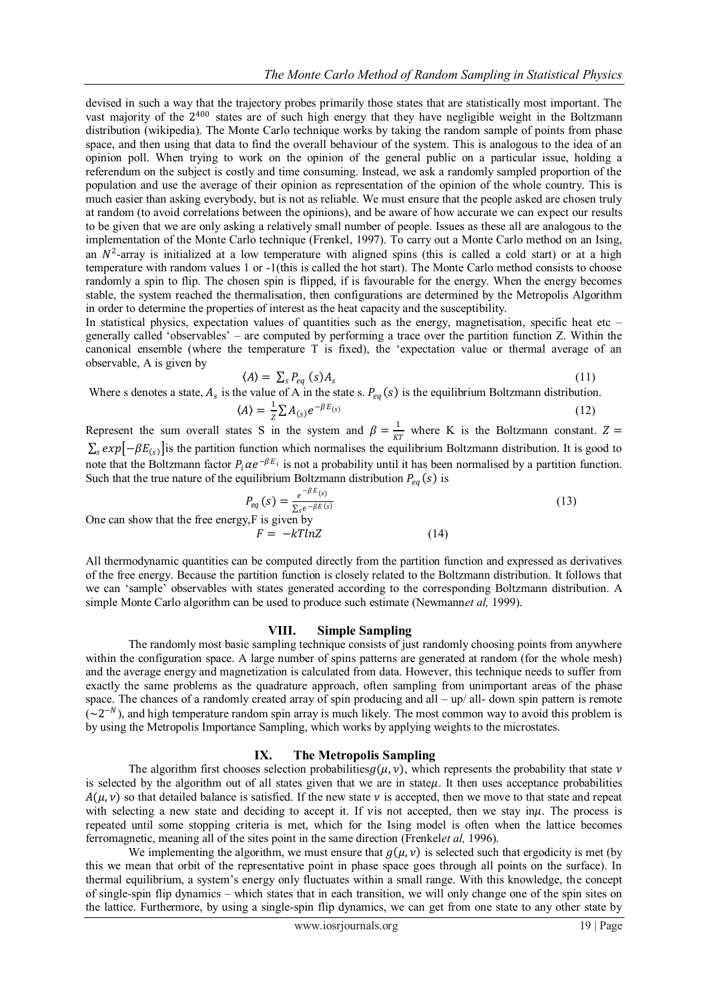devised in such a way that the trajectory probes primarily those states that are statistically most important. The vast majority of the 2<sup>400</sup> states are of such high energy that they have negligible weight in the Boltzmann distribution (wikipedia). The Monte Carlo technique works by taking the random sample of points from phase space, and then using that data to find the overall behaviour of the system. This is analogous to the idea of an opinion poll. When trying to work on the opinion of the general public on a particular issue, holding a referendum on the subject is costly and time consuming. Instead, we ask a randomly sampled proportion of the population and use the average of their opinion as representation of the opinion of the whole country. This is much easier than asking everybody, but is not as reliable. We must ensure that the people asked are chosen truly at random (to avoid correlations between the opinions), and be aware of how accurate we can expect our results to be given that we are only asking a relatively small number of people. Issues as these all are analogous to the implementation of the Monte Carlo technique (Frenkel, 1997). To carry out a Monte Carlo method on an Ising, an  $N^2$ -array is initialized at a low temperature with aligned spins (this is called a cold start) or at a high temperature with random values 1 or -1(this is called the hot start). The Monte Carlo method consists to choose randomly a spin to flip. The chosen spin is flipped, if is favourable for the energy. When the energy becomes stable, the system reached the thermalisation, then configurations are determined by the Metropolis Algorithm in order to determine the properties of interest as the heat capacity and the susceptibility.

In statistical physics, expectation values of quantities such as the energy, magnetisation, specific heat etc  $$ generally called 'observables' – are computed by performing a trace over the partition function Z. Within the canonical ensemble (where the temperature T is fixed), the 'expectation value or thermal average of an observable, A is given by

$$
\langle A \rangle = \sum_{s} P_{eq} \left( s \right) A_s \tag{11}
$$

Where s denotes a state,  $A_s$  is the value of A in the state s.  $P_{eq}(s)$  is the equilibrium Boltzmann distribution.  $\langle A \rangle = \frac{1}{a}$  $\frac{1}{Z} \sum A_{(s)} e^{-\beta E_{(s)}}$  (12)

Represent the sum overall states S in the system and  $\beta = \frac{1}{m}$  $\frac{1}{KT}$  where K is the Boltzmann constant.  $Z =$  $\sum_s exp[-\beta E_{(s)}]$  is the partition function which normalises the equilibrium Boltzmann distribution. It is good to note that the Boltzmann factor  $P_i \alpha e^{-\beta E_i}$  is not a probability until it has been normalised by a partition function. Such that the true nature of the equilibrium Boltzmann distribution  $P_{eq}(s)$  is

$$
P_{eq}(s) = \frac{e^{-\beta E(s)}}{\sum_{s} e^{-\beta E(s)}}
$$
(13)  
One can show that the free energy, F is given by  

$$
F = -kTlnZ
$$
(14)

All thermodynamic quantities can be computed directly from the partition function and expressed as derivatives of the free energy. Because the partition function is closely related to the Boltzmann distribution. It follows that we can 'sample' observables with states generated according to the corresponding Boltzmann distribution. A simple Monte Carlo algorithm can be used to produce such estimate (Newmann*et al,* 1999).

#### **VIII. Simple Sampling**

The randomly most basic sampling technique consists of just randomly choosing points from anywhere within the configuration space. A large number of spins patterns are generated at random (for the whole mesh) and the average energy and magnetization is calculated from data. However, this technique needs to suffer from exactly the same problems as the quadrature approach, often sampling from unimportant areas of the phase space. The chances of a randomly created array of spin producing and all – up/ all- down spin pattern is remote  $({\sim}2^{-N})$ , and high temperature random spin array is much likely. The most common way to avoid this problem is by using the Metropolis Importance Sampling, which works by applying weights to the microstates.

# **IX. The Metropolis Sampling**

The algorithm first chooses selection probabilities  $g(\mu, \nu)$ , which represents the probability that state  $\nu$ is selected by the algorithm out of all states given that we are in state $\mu$ . It then uses acceptance probabilities  $A(\mu, \nu)$  so that detailed balance is satisfied. If the new state  $\nu$  is accepted, then we move to that state and repeat with selecting a new state and deciding to accept it. If vis not accepted, then we stay in $\mu$ . The process is repeated until some stopping criteria is met, which for the Ising model is often when the lattice becomes ferromagnetic, meaning all of the sites point in the same direction (Frenkel*et al,* 1996).

We implementing the algorithm, we must ensure that  $g(\mu, \nu)$  is selected such that ergodicity is met (by this we mean that orbit of the representative point in phase space goes through all points on the surface). In thermal equilibrium, a system's energy only fluctuates within a small range. With this knowledge, the concept of single-spin flip dynamics – which states that in each transition, we will only change one of the spin sites on the lattice. Furthermore, by using a single-spin flip dynamics, we can get from one state to any other state by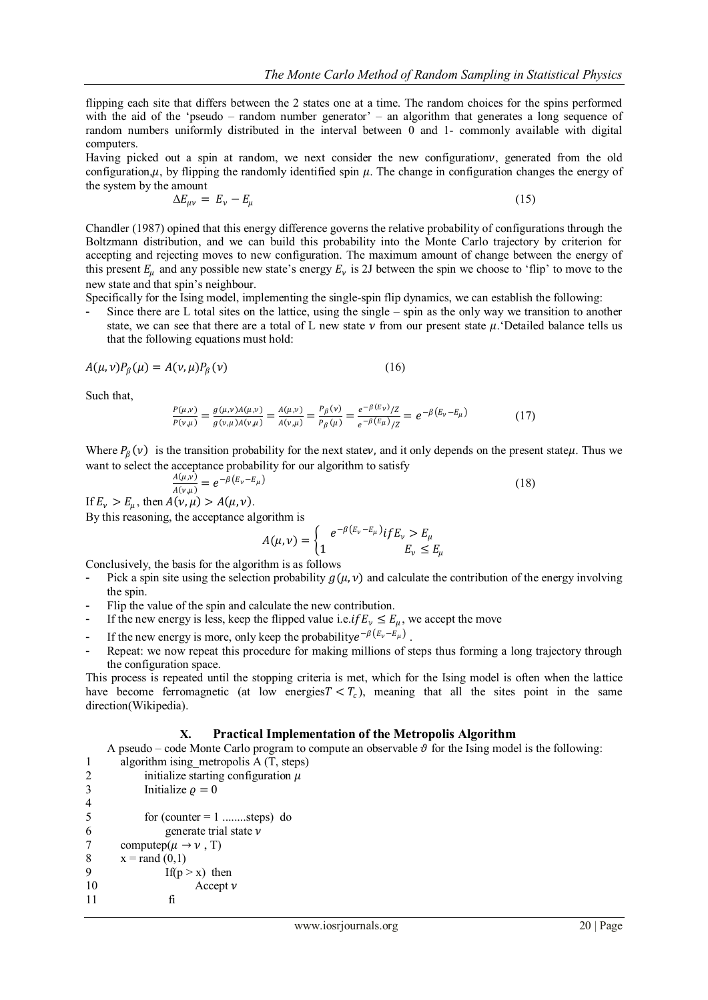flipping each site that differs between the 2 states one at a time. The random choices for the spins performed with the aid of the 'pseudo – random number generator' – an algorithm that generates a long sequence of random numbers uniformly distributed in the interval between 0 and 1- commonly available with digital computers.

Having picked out a spin at random, we next consider the new configuration  $\nu$ , generated from the old configuration,  $\mu$ , by flipping the randomly identified spin  $\mu$ . The change in configuration changes the energy of the system by the amount

$$
\Delta E_{\mu\nu} = E_{\nu} - E_{\mu} \tag{15}
$$

Chandler (1987) opined that this energy difference governs the relative probability of configurations through the Boltzmann distribution, and we can build this probability into the Monte Carlo trajectory by criterion for accepting and rejecting moves to new configuration. The maximum amount of change between the energy of this present  $E_\mu$  and any possible new state's energy  $E_\nu$  is 2J between the spin we choose to 'flip' to move to the new state and that spin's neighbour.

Specifically for the Ising model, implementing the single-spin flip dynamics, we can establish the following:

Since there are L total sites on the lattice, using the single  $-$  spin as the only way we transition to another state, we can see that there are a total of L new state  $\nu$  from our present state  $\mu$ . Detailed balance tells us that the following equations must hold:

$$
A(\mu, \nu)P_{\beta}(\mu) = A(\nu, \mu)P_{\beta}(\nu) \tag{16}
$$

Such that,

$$
\frac{P(\mu,\nu)}{P(\nu,\mu)} = \frac{g(\mu,\nu)A(\mu,\nu)}{g(\nu,\mu)A(\nu,\mu)} = \frac{A(\mu,\nu)}{A(\nu,\mu)} = \frac{P_{\beta}(\nu)}{P_{\beta}(\mu)} = \frac{e^{-\beta(E_{\nu})}/Z}{e^{-\beta(E_{\mu})}/Z} = e^{-\beta(E_{\nu} - E_{\mu})}
$$
(17)

Where  $P_\beta(v)$  is the transition probability for the next statev, and it only depends on the present state $\mu$ . Thus we want to select the acceptance probability for our algorithm to satisfy

$$
\frac{A(\mu,\nu)}{A(\nu,\mu)} = e^{-\beta(E_{\nu} - E_{\mu})}
$$
\n(18)

If  $E_{\nu} > E_{\mu}$ , then  $A(\nu, \mu) > A(\mu, \nu)$ .

By this reasoning, the acceptance algorithm is

$$
A(\mu, \nu) = \begin{cases} e^{-\beta (E_{\nu} - E_{\mu})} if E_{\nu} > E_{\mu} \\ 1 & E_{\nu} \le E_{\mu} \end{cases}
$$

Conclusively, the basis for the algorithm is as follows

- Pick a spin site using the selection probability  $g(\mu, \nu)$  and calculate the contribution of the energy involving the spin.
- Flip the value of the spin and calculate the new contribution.
- If the new energy is less, keep the flipped value i.e. if  $E_v \le E_\mu$ , we accept the move
- If the new energy is more, only keep the probability  $e^{-\beta(E_v E_\mu)}$ .
- Repeat: we now repeat this procedure for making millions of steps thus forming a long trajectory through the configuration space.

This process is repeated until the stopping criteria is met, which for the Ising model is often when the lattice have become ferromagnetic (at low energies  $T < T_c$ ), meaning that all the sites point in the same direction(Wikipedia).

## **X. Practical Implementation of the Metropolis Algorithm**

A pseudo – code Monte Carlo program to compute an observable  $\vartheta$  for the Ising model is the following: 1 algorithm ising metropolis A (T, steps)

2 initialize starting configuration  $\mu$ 3 Initialize  $\rho = 0$ 4  $5$  for (counter = 1 ........steps) do 6 generate trial state  $\nu$ 7 computed( $\mu \rightarrow \nu$ , T) 8  $x = \text{rand}(0,1)$ 9 If( $p > x$ ) then 10  $\operatorname{Accept} \nu$ 11 fi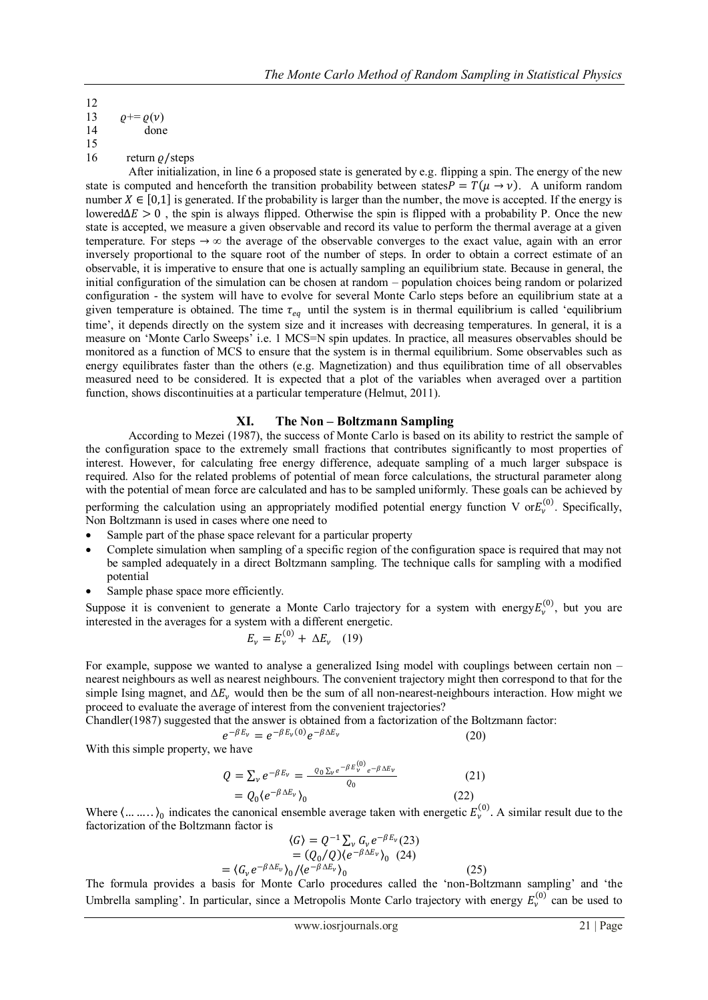12 13  $\rho+=\rho(\nu)$ 14 done 15

16 return  $\rho$ /steps

After initialization, in line 6 a proposed state is generated by e.g. flipping a spin. The energy of the new state is computed and henceforth the transition probability between states  $P = T(\mu \rightarrow \nu)$ . A uniform random number  $X \in [0,1]$  is generated. If the probability is larger than the number, the move is accepted. If the energy is lowered $\Delta E > 0$ , the spin is always flipped. Otherwise the spin is flipped with a probability P. Once the new state is accepted, we measure a given observable and record its value to perform the thermal average at a given temperature. For steps  $\rightarrow \infty$  the average of the observable converges to the exact value, again with an error inversely proportional to the square root of the number of steps. In order to obtain a correct estimate of an observable, it is imperative to ensure that one is actually sampling an equilibrium state. Because in general, the initial configuration of the simulation can be chosen at random – population choices being random or polarized configuration - the system will have to evolve for several Monte Carlo steps before an equilibrium state at a given temperature is obtained. The time  $\tau_{eq}$  until the system is in thermal equilibrium is called 'equilibrium time', it depends directly on the system size and it increases with decreasing temperatures. In general, it is a measure on 'Monte Carlo Sweeps' i.e. 1 MCS=N spin updates. In practice, all measures observables should be monitored as a function of MCS to ensure that the system is in thermal equilibrium. Some observables such as energy equilibrates faster than the others (e.g. Magnetization) and thus equilibration time of all observables measured need to be considered. It is expected that a plot of the variables when averaged over a partition function, shows discontinuities at a particular temperature (Helmut, 2011).

# **XI. The Non – Boltzmann Sampling**

According to Mezei (1987), the success of Monte Carlo is based on its ability to restrict the sample of the configuration space to the extremely small fractions that contributes significantly to most properties of interest. However, for calculating free energy difference, adequate sampling of a much larger subspace is required. Also for the related problems of potential of mean force calculations, the structural parameter along with the potential of mean force are calculated and has to be sampled uniformly. These goals can be achieved by performing the calculation using an appropriately modified potential energy function V or $E_v^{(0)}$ . Specifically, Non Boltzmann is used in cases where one need to

- Sample part of the phase space relevant for a particular property
- Complete simulation when sampling of a specific region of the configuration space is required that may not be sampled adequately in a direct Boltzmann sampling. The technique calls for sampling with a modified potential
- Sample phase space more efficiently.

Suppose it is convenient to generate a Monte Carlo trajectory for a system with energy  $E_v^{(0)}$ , but you are interested in the averages for a system with a different energetic.

$$
E_{\nu} = E_{\nu}^{(0)} + \Delta E_{\nu} \quad (19)
$$

For example, suppose we wanted to analyse a generalized Ising model with couplings between certain non – nearest neighbours as well as nearest neighbours. The convenient trajectory might then correspond to that for the simple Ising magnet, and  $\Delta E_v$  would then be the sum of all non-nearest-neighbours interaction. How might we proceed to evaluate the average of interest from the convenient trajectories?

Chandler(1987) suggested that the answer is obtained from a factorization of the Boltzmann factor:

$$
e^{-\beta E_v} = e^{-\beta E_v(0)} e^{-\beta \Delta E_v}
$$
 (20)

With this simple property, we have

$$
Q = \sum_{v} e^{-\beta E_{v}} = \frac{Q_{0} \sum_{v} e^{-\beta E_{v}^{(0)}} e^{-\beta \Delta E_{v}}}{Q_{0}}
$$
\n
$$
= Q_{0} \langle e^{-\beta \Delta E_{v}} \rangle_{0}
$$
\n(21)

Where  $\langle \dots \dots \rangle_0$  indicates the canonical ensemble average taken with energetic  $E_v^{(0)}$ . A similar result due to the factorization of the Boltzmann factor is

$$
\langle G \rangle = Q^{-1} \sum_{\nu} G_{\nu} e^{-\beta E_{\nu}} (23)
$$
  
=  $(Q_0/Q)(e^{-\beta \Delta E_{\nu}})_0$  (24)  
=  $\langle G_{\nu} e^{-\beta \Delta E_{\nu}} \rangle_0 / \langle e^{-\beta \Delta E_{\nu}} \rangle_0$  (25)

The formula provides a basis for Monte Carlo procedures called the 'non-Boltzmann sampling' and 'the Umbrella sampling'. In particular, since a Metropolis Monte Carlo trajectory with energy  $E_v^{(0)}$  can be used to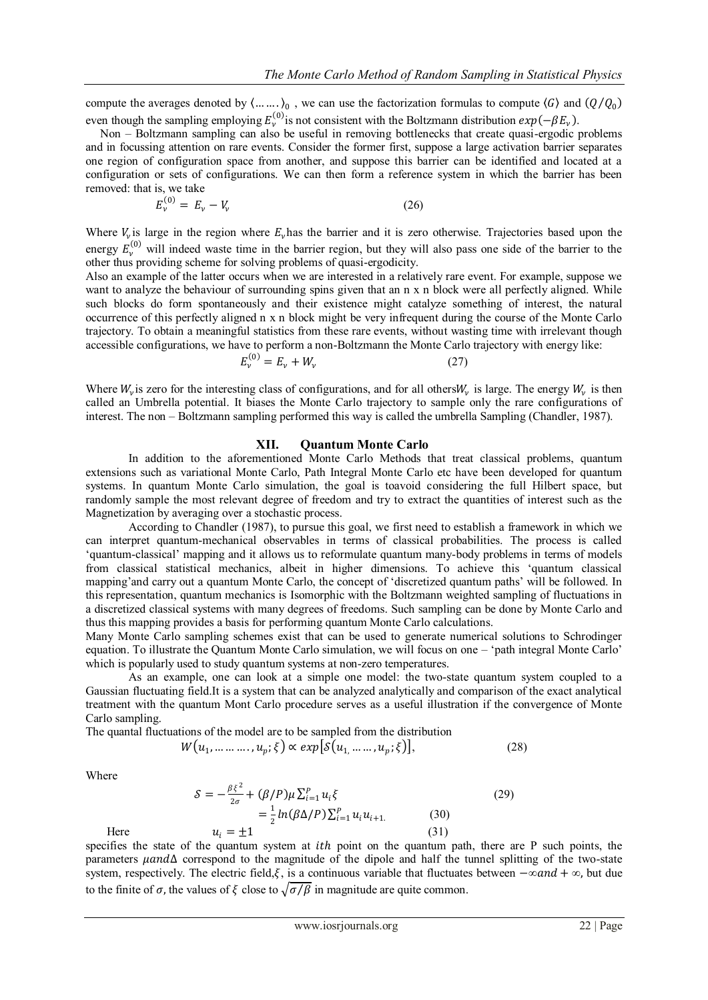compute the averages denoted by  $\langle ... \dots \rangle_0$ , we can use the factorization formulas to compute  $\langle G \rangle$  and  $(Q/Q_0)$ even though the sampling employing  $E_v^{(0)}$  is not consistent with the Boltzmann distribution  $exp(-\beta E_v)$ .

 Non – Boltzmann sampling can also be useful in removing bottlenecks that create quasi-ergodic problems and in focussing attention on rare events. Consider the former first, suppose a large activation barrier separates one region of configuration space from another, and suppose this barrier can be identified and located at a configuration or sets of configurations. We can then form a reference system in which the barrier has been removed: that is, we take

$$
E_{\nu}^{(0)} = E_{\nu} - V_{\nu} \tag{26}
$$

Where  $V_{\nu}$  is large in the region where  $E_{\nu}$  has the barrier and it is zero otherwise. Trajectories based upon the energy  $E_v^{(0)}$  will indeed waste time in the barrier region, but they will also pass one side of the barrier to the other thus providing scheme for solving problems of quasi-ergodicity.

Also an example of the latter occurs when we are interested in a relatively rare event. For example, suppose we want to analyze the behaviour of surrounding spins given that an n x n block were all perfectly aligned. While such blocks do form spontaneously and their existence might catalyze something of interest, the natural occurrence of this perfectly aligned n x n block might be very infrequent during the course of the Monte Carlo trajectory. To obtain a meaningful statistics from these rare events, without wasting time with irrelevant though accessible configurations, we have to perform a non-Boltzmann the Monte Carlo trajectory with energy like:

$$
E_{\nu}^{(0)} = E_{\nu} + W_{\nu} \tag{27}
$$

Where  $W_v$  is zero for the interesting class of configurations, and for all others  $W_v$  is large. The energy  $W_v$  is then called an Umbrella potential. It biases the Monte Carlo trajectory to sample only the rare configurations of interest. The non – Boltzmann sampling performed this way is called the umbrella Sampling (Chandler, 1987).

#### **XII. Quantum Monte Carlo**

In addition to the aforementioned Monte Carlo Methods that treat classical problems, quantum extensions such as variational Monte Carlo, Path Integral Monte Carlo etc have been developed for quantum systems. In quantum Monte Carlo simulation, the goal is toavoid considering the full Hilbert space, but randomly sample the most relevant degree of freedom and try to extract the quantities of interest such as the Magnetization by averaging over a stochastic process.

According to Chandler (1987), to pursue this goal, we first need to establish a framework in which we can interpret quantum-mechanical observables in terms of classical probabilities. The process is called 'quantum-classical' mapping and it allows us to reformulate quantum many-body problems in terms of models from classical statistical mechanics, albeit in higher dimensions. To achieve this 'quantum classical mapping'and carry out a quantum Monte Carlo, the concept of 'discretized quantum paths' will be followed. In this representation, quantum mechanics is Isomorphic with the Boltzmann weighted sampling of fluctuations in a discretized classical systems with many degrees of freedoms. Such sampling can be done by Monte Carlo and thus this mapping provides a basis for performing quantum Monte Carlo calculations.

Many Monte Carlo sampling schemes exist that can be used to generate numerical solutions to Schrodinger equation. To illustrate the Quantum Monte Carlo simulation, we will focus on one – 'path integral Monte Carlo' which is popularly used to study quantum systems at non-zero temperatures.

As an example, one can look at a simple one model: the two-state quantum system coupled to a Gaussian fluctuating field.It is a system that can be analyzed analytically and comparison of the exact analytical treatment with the quantum Mont Carlo procedure serves as a useful illustration if the convergence of Monte Carlo sampling.

The quantal fluctuations of the model are to be sampled from the distribution

$$
W(u_1, \dots, u_p; \xi) \propto exp[\delta(u_1, \dots, u_p; \xi)], \qquad (28)
$$

Where

$$
\mathcal{S} = -\frac{\beta \xi^2}{2\sigma} + (\beta/P)\mu \sum_{i=1}^P u_i \xi
$$
\n
$$
= \frac{1}{2} ln(\beta \Delta/P) \sum_{i=1}^P u_i u_{i+1}.
$$
\n(30)\nHere\n
$$
u_i = \pm 1
$$
\n(31)

specifies the state of the quantum system at  $ith$  point on the quantum path, there are P such points, the parameters  $\mu$ and $\Delta$  correspond to the magnitude of the dipole and half the tunnel splitting of the two-state system, respectively. The electric field, $\xi$ , is a continuous variable that fluctuates between  $-\infty$  and  $+\infty$ , but due to the finite of  $\sigma$ , the values of  $\xi$  close to  $\sqrt{\sigma/\beta}$  in magnitude are quite common.